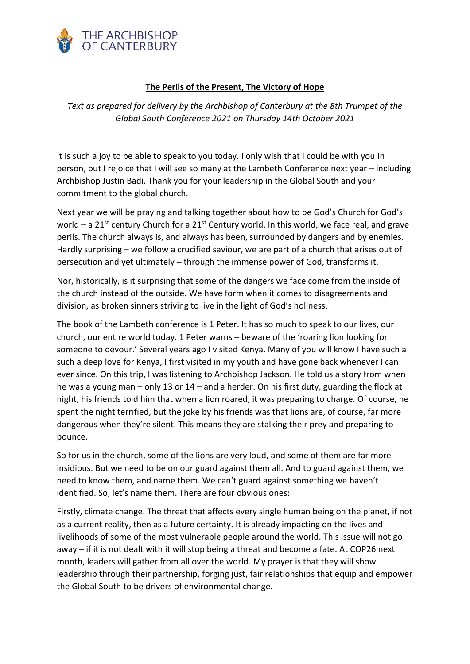

## **The Perils of the Present, The Victory of Hope**

*Text as prepared for delivery by the Archbishop of Canterbury at the 8th Trumpet of the Global South Conference 2021 on Thursday 14th October 2021*

It is such a joy to be able to speak to you today. I only wish that I could be with you in person, but I rejoice that I will see so many at the Lambeth Conference next year – including Archbishop Justin Badi. Thank you for your leadership in the Global South and your commitment to the global church.

Next year we will be praying and talking together about how to be God's Church for God's world – a 21<sup>st</sup> century Church for a 21<sup>st</sup> Century world. In this world, we face real, and grave perils. The church always is, and always has been, surrounded by dangers and by enemies. Hardly surprising – we follow a crucified saviour, we are part of a church that arises out of persecution and yet ultimately – through the immense power of God, transforms it.

Nor, historically, is it surprising that some of the dangers we face come from the inside of the church instead of the outside. We have form when it comes to disagreements and division, as broken sinners striving to live in the light of God's holiness.

The book of the Lambeth conference is 1 Peter. It has so much to speak to our lives, our church, our entire world today. 1 Peter warns – beware of the 'roaring lion looking for someone to devour.' Several years ago I visited Kenya. Many of you will know I have such a such a deep love for Kenya, I first visited in my youth and have gone back whenever I can ever since. On this trip, I was listening to Archbishop Jackson. He told us a story from when he was a young man – only 13 or 14 – and a herder. On his first duty, guarding the flock at night, his friends told him that when a lion roared, it was preparing to charge. Of course, he spent the night terrified, but the joke by his friends was that lions are, of course, far more dangerous when they're silent. This means they are stalking their prey and preparing to pounce.

So for us in the church, some of the lions are very loud, and some of them are far more insidious. But we need to be on our guard against them all. And to guard against them, we need to know them, and name them. We can't guard against something we haven't identified. So, let's name them. There are four obvious ones:

Firstly, climate change. The threat that affects every single human being on the planet, if not as a current reality, then as a future certainty. It is already impacting on the lives and livelihoods of some of the most vulnerable people around the world. This issue will not go away – if it is not dealt with it will stop being a threat and become a fate. At COP26 next month, leaders will gather from all over the world. My prayer is that they will show leadership through their partnership, forging just, fair relationships that equip and empower the Global South to be drivers of environmental change.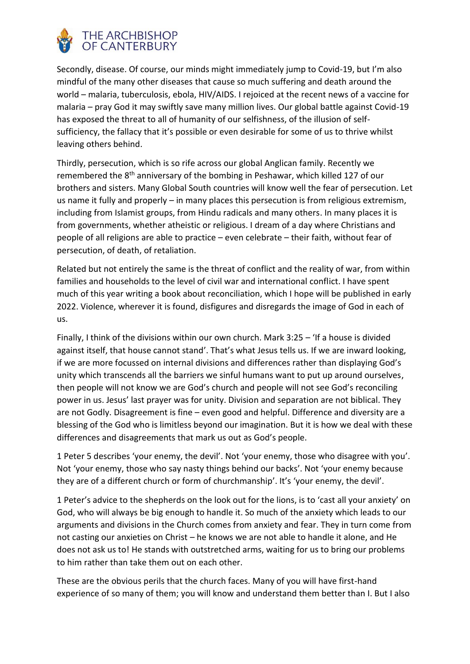

Secondly, disease. Of course, our minds might immediately jump to Covid-19, but I'm also mindful of the many other diseases that cause so much suffering and death around the world – malaria, tuberculosis, ebola, HIV/AIDS. I rejoiced at the recent news of a vaccine for malaria – pray God it may swiftly save many million lives. Our global battle against Covid-19 has exposed the threat to all of humanity of our selfishness, of the illusion of selfsufficiency, the fallacy that it's possible or even desirable for some of us to thrive whilst leaving others behind.

Thirdly, persecution, which is so rife across our global Anglican family. Recently we remembered the 8<sup>th</sup> anniversary of the bombing in Peshawar, which killed 127 of our brothers and sisters. Many Global South countries will know well the fear of persecution. Let us name it fully and properly – in many places this persecution is from religious extremism, including from Islamist groups, from Hindu radicals and many others. In many places it is from governments, whether atheistic or religious. I dream of a day where Christians and people of all religions are able to practice – even celebrate – their faith, without fear of persecution, of death, of retaliation.

Related but not entirely the same is the threat of conflict and the reality of war, from within families and households to the level of civil war and international conflict. I have spent much of this year writing a book about reconciliation, which I hope will be published in early 2022. Violence, wherever it is found, disfigures and disregards the image of God in each of us.

Finally, I think of the divisions within our own church. Mark 3:25 – 'If a house is divided against itself, that house cannot stand'. That's what Jesus tells us. If we are inward looking, if we are more focussed on internal divisions and differences rather than displaying God's unity which transcends all the barriers we sinful humans want to put up around ourselves, then people will not know we are God's church and people will not see God's reconciling power in us. Jesus' last prayer was for unity. Division and separation are not biblical. They are not Godly. Disagreement is fine – even good and helpful. Difference and diversity are a blessing of the God who is limitless beyond our imagination. But it is how we deal with these differences and disagreements that mark us out as God's people.

1 Peter 5 describes 'your enemy, the devil'. Not 'your enemy, those who disagree with you'. Not 'your enemy, those who say nasty things behind our backs'. Not 'your enemy because they are of a different church or form of churchmanship'. It's 'your enemy, the devil'.

1 Peter's advice to the shepherds on the look out for the lions, is to 'cast all your anxiety' on God, who will always be big enough to handle it. So much of the anxiety which leads to our arguments and divisions in the Church comes from anxiety and fear. They in turn come from not casting our anxieties on Christ – he knows we are not able to handle it alone, and He does not ask us to! He stands with outstretched arms, waiting for us to bring our problems to him rather than take them out on each other.

These are the obvious perils that the church faces. Many of you will have first-hand experience of so many of them; you will know and understand them better than I. But I also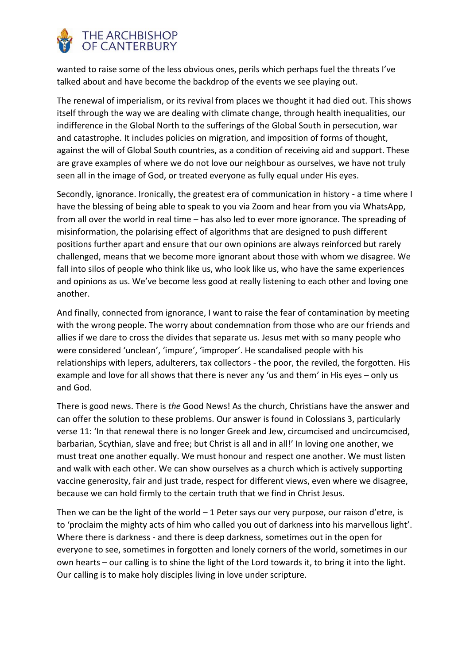

wanted to raise some of the less obvious ones, perils which perhaps fuel the threats I've talked about and have become the backdrop of the events we see playing out.

The renewal of imperialism, or its revival from places we thought it had died out. This shows itself through the way we are dealing with climate change, through health inequalities, our indifference in the Global North to the sufferings of the Global South in persecution, war and catastrophe. It includes policies on migration, and imposition of forms of thought, against the will of Global South countries, as a condition of receiving aid and support. These are grave examples of where we do not love our neighbour as ourselves, we have not truly seen all in the image of God, or treated everyone as fully equal under His eyes.

Secondly, ignorance. Ironically, the greatest era of communication in history - a time where I have the blessing of being able to speak to you via Zoom and hear from you via WhatsApp, from all over the world in real time – has also led to ever more ignorance. The spreading of misinformation, the polarising effect of algorithms that are designed to push different positions further apart and ensure that our own opinions are always reinforced but rarely challenged, means that we become more ignorant about those with whom we disagree. We fall into silos of people who think like us, who look like us, who have the same experiences and opinions as us. We've become less good at really listening to each other and loving one another.

And finally, connected from ignorance, I want to raise the fear of contamination by meeting with the wrong people. The worry about condemnation from those who are our friends and allies if we dare to cross the divides that separate us. Jesus met with so many people who were considered 'unclean', 'impure', 'improper'. He scandalised people with his relationships with lepers, adulterers, tax collectors - the poor, the reviled, the forgotten. His example and love for all shows that there is never any 'us and them' in His eyes – only us and God.

There is good news. There is *the* Good News! As the church, Christians have the answer and can offer the solution to these problems. Our answer is found in Colossians 3, particularly verse 11: 'In that renewal there is no longer Greek and Jew, circumcised and uncircumcised, barbarian, Scythian, slave and free; but Christ is all and in all!' In loving one another, we must treat one another equally. We must honour and respect one another. We must listen and walk with each other. We can show ourselves as a church which is actively supporting vaccine generosity, fair and just trade, respect for different views, even where we disagree, because we can hold firmly to the certain truth that we find in Christ Jesus.

Then we can be the light of the world  $-1$  Peter says our very purpose, our raison d'etre, is to 'proclaim the mighty acts of him who called you out of darkness into his marvellous light'. Where there is darkness - and there is deep darkness, sometimes out in the open for everyone to see, sometimes in forgotten and lonely corners of the world, sometimes in our own hearts – our calling is to shine the light of the Lord towards it, to bring it into the light. Our calling is to make holy disciples living in love under scripture.